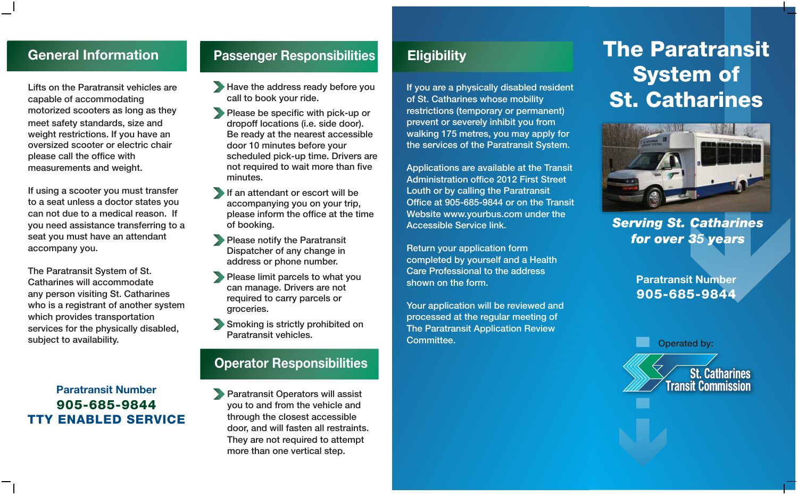# **General Information**

Lifts on the Paratransit vehicles are capable of accommodating motorized scooters as long as they meet safety standards, size and weight restrictions. If you have an oversized scooter or electric chair please call the office with measurements and weight.

If using a scooter you must transfer to a seat unless a doctor states you can not due to a medical reason. If you need assistance transferring to a seat you must have an attendant accompany you.

The Paratransit System of St. Catharines will accommodate any person visiting St. Catharines who is a registrant of another system which provides transportation services for the physically disabled, subject to availability.

#### **Paratransit Number** 905-685-9844 TTY ENABLED SERVICE

# **Passenger Responsibilities**

- Have the address ready before you call to book your ride.
- Please be specific with pick-up or dropoff locations (i.e. side door). Be ready at the nearest accessible door 10 minutes before your scheduled pick-up time. Drivers are not required to wait more than five minutes.
- If an attendant or escort will be accompanying you on your trip, please inform the office at the time of booking.
- **Please notify the Paratransit** Dispatcher of any change in address or phone number.
- Please limit parcels to what you can manage. Drivers are not required to carry parcels or groceries.
- Smoking is strictly prohibited on Paratransit vehicles.

#### **Operator Responsibilities**

Paratransit Operators will assist you to and from the vehicle and through the closest accessible door, and will fasten all restraints. They are not required to attempt more than one vertical step.

# **Eligibility**

If you are a physically disabled resident of St. Catharines whose mobility restrictions (temporary or permanent) prevent or severely inhibit you from walking 175 metres, you may apply for the services of the Paratransit System.

Applications are available at the Transit Administration office 2012 First Street Louth or by calling the Paratransit Office at 905-685-9844 or on the Transit Website www.yourbus.com under the Accessible Service link.

Return your application form completed by yourself and a Health Care Professional to the address shown on the form.

Your application will be reviewed and processed at the regular meeting of The Paratransit Application Review Committee.

# The Paratransit System of St. Catharines



*Serving St. Catharines for over 35 years*

> **Paratransit Number** 905-685-9844